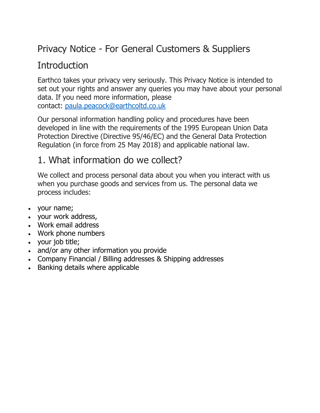# Privacy Notice - For General Customers & Suppliers

## **Introduction**

Earthco takes your privacy very seriously. This Privacy Notice is intended to set out your rights and answer any queries you may have about your personal data. If you need more information, please contact: [paula.peacock@earthcoltd.co.uk](mailto:paula.peacock@earthcoltd.co.uk)

Our personal information handling policy and procedures have been developed in line with the requirements of the 1995 European Union Data Protection Directive (Directive 95/46/EC) and the General Data Protection Regulation (in force from 25 May 2018) and applicable national law.

### 1. What information do we collect?

We collect and process personal data about you when you interact with us when you purchase goods and services from us. The personal data we process includes:

- your name;
- your work address,
- Work email address
- Work phone numbers
- your job title;
- and/or any other information you provide
- Company Financial / Billing addresses & Shipping addresses
- Banking details where applicable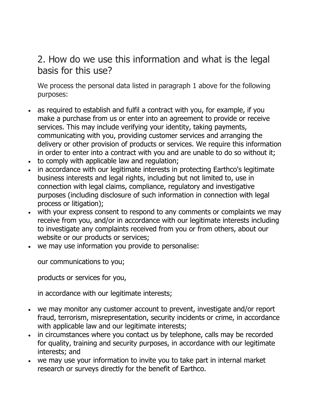## 2. How do we use this information and what is the legal basis for this use?

We process the personal data listed in paragraph 1 above for the following purposes:

- as required to establish and fulfil a contract with you, for example, if you make a purchase from us or enter into an agreement to provide or receive services. This may include verifying your identity, taking payments, communicating with you, providing customer services and arranging the delivery or other provision of products or services. We require this information in order to enter into a contract with you and are unable to do so without it;
- to comply with applicable law and regulation;
- in accordance with our legitimate interests in protecting Earthco's legitimate business interests and legal rights, including but not limited to, use in connection with legal claims, compliance, regulatory and investigative purposes (including disclosure of such information in connection with legal process or litigation);
- with your express consent to respond to any comments or complaints we may receive from you, and/or in accordance with our legitimate interests including to investigate any complaints received from you or from others, about our website or our products or services;
- we may use information you provide to personalise:

our communications to you;

products or services for you,

in accordance with our legitimate interests;

- we may monitor any customer account to prevent, investigate and/or report fraud, terrorism, misrepresentation, security incidents or crime, in accordance with applicable law and our legitimate interests;
- in circumstances where you contact us by telephone, calls may be recorded for quality, training and security purposes, in accordance with our legitimate interests; and
- we may use your information to invite you to take part in internal market research or surveys directly for the benefit of Earthco.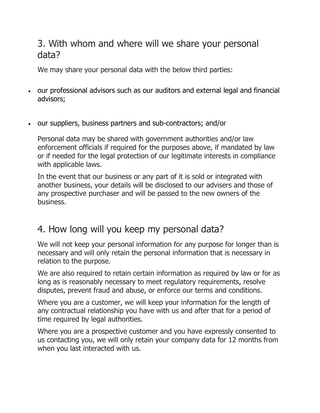### 3. With whom and where will we share your personal data?

We may share your personal data with the below third parties:

- our professional advisors such as our auditors and external legal and financial advisors;
- our suppliers, business partners and sub-contractors; and/or

Personal data may be shared with government authorities and/or law enforcement officials if required for the purposes above, if mandated by law or if needed for the legal protection of our legitimate interests in compliance with applicable laws.

In the event that our business or any part of it is sold or integrated with another business, your details will be disclosed to our advisers and those of any prospective purchaser and will be passed to the new owners of the business.

## 4. How long will you keep my personal data?

We will not keep your personal information for any purpose for longer than is necessary and will only retain the personal information that is necessary in relation to the purpose.

We are also required to retain certain information as required by law or for as long as is reasonably necessary to meet regulatory requirements, resolve disputes, prevent fraud and abuse, or enforce our terms and conditions.

Where you are a customer, we will keep your information for the length of any contractual relationship you have with us and after that for a period of time required by legal authorities.

Where you are a prospective customer and you have expressly consented to us contacting you, we will only retain your company data for 12 months from when you last interacted with us.